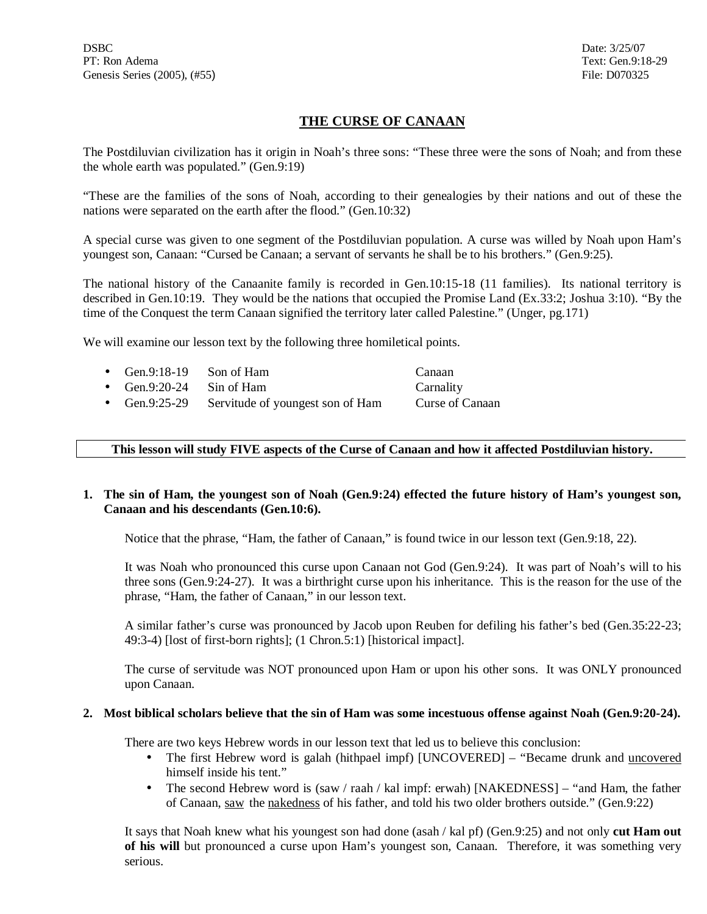# **THE CURSE OF CANAAN**

The Postdiluvian civilization has it origin in Noah's three sons: "These three were the sons of Noah; and from these the whole earth was populated." (Gen.9:19)

"These are the families of the sons of Noah, according to their genealogies by their nations and out of these the nations were separated on the earth after the flood." (Gen.10:32)

A special curse was given to one segment of the Postdiluvian population. A curse was willed by Noah upon Ham's youngest son, Canaan: "Cursed be Canaan; a servant of servants he shall be to his brothers." (Gen.9:25).

The national history of the Canaanite family is recorded in Gen.10:15-18 (11 families). Its national territory is described in Gen.10:19. They would be the nations that occupied the Promise Land (Ex.33:2; Joshua 3:10). "By the time of the Conquest the term Canaan signified the territory later called Palestine." (Unger, pg.171)

We will examine our lesson text by the following three homiletical points.

| • Gen.9:18-19 Son of Ham |                                                | Canaan          |
|--------------------------|------------------------------------------------|-----------------|
| • Gen.9:20-24 Sin of Ham |                                                | Carnality       |
|                          | • Gen.9:25-29 Servitude of youngest son of Ham | Curse of Canaan |

### **This lesson will study FIVE aspects of the Curse of Canaan and how it affected Postdiluvian history.**

## 1. The sin of Ham, the youngest son of Noah (Gen.9:24) effected the future history of Ham's youngest son, **Canaan and his descendants (Gen.10:6).**

Notice that the phrase, "Ham, the father of Canaan," is found twice in our lesson text (Gen.9:18, 22).

It was Noah who pronounced this curse upon Canaan not God (Gen.9:24). It was part of Noah's will to his three sons (Gen.9:24-27). It was a birthright curse upon his inheritance. This is the reason for the use of the phrase, "Ham, the father of Canaan," in our lesson text.

A similar father's curse was pronounced by Jacob upon Reuben for defiling his father's bed (Gen.35:22-23; 49:3-4) [lost of first-born rights]; (1 Chron.5:1) [historical impact].

The curse of servitude was NOT pronounced upon Ham or upon his other sons. It was ONLY pronounced upon Canaan.

### 2. Most biblical scholars believe that the sin of Ham was some incestuous offense against Noah (Gen.9:20-24).

There are two keys Hebrew words in our lesson text that led us to believe this conclusion:

- The first Hebrew word is galah (hithpael impf) [UNCOVERED] "Became drunk and uncovered himself inside his tent."
- The second Hebrew word is (saw / raah / kal impf: erwah) [NAKEDNESS] "and Ham, the father of Canaan, saw the nakedness of his father, and told his two older brothers outside." (Gen.9:22)

It says that Noah knew what his youngest son had done (asah / kal pf) (Gen.9:25) and not only **cut Ham out of his will** but pronounced a curse upon Ham's youngest son, Canaan. Therefore, it was something very serious.